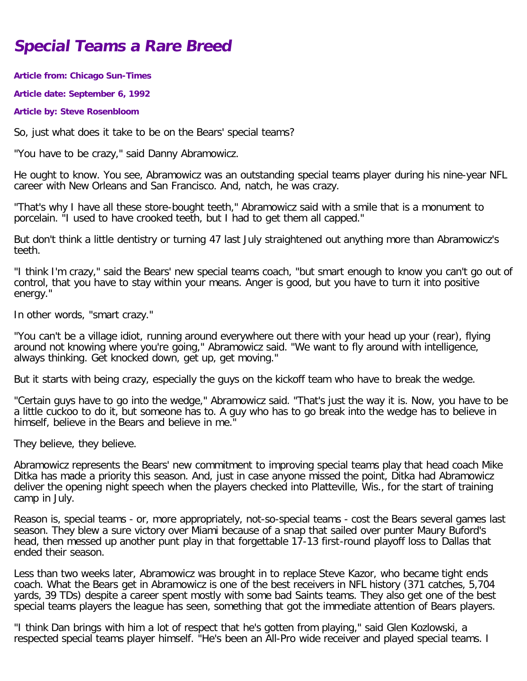## **Special Teams a Rare Breed**

**Article from: Chicago Sun-Times**

**Article date: September 6, 1992**

**Article by: Steve Rosenbloom**

So, just what does it take to be on the Bears' special teams?

"You have to be crazy," said Danny Abramowicz.

He ought to know. You see, Abramowicz was an outstanding special teams player during his nine-year NFL career with New Orleans and San Francisco. And, natch, he was crazy.

"That's why I have all these store-bought teeth," Abramowicz said with a smile that is a monument to porcelain. "I used to have crooked teeth, but I had to get them all capped."

But don't think a little dentistry or turning 47 last July straightened out anything more than Abramowicz's teeth.

"I think I'm crazy," said the Bears' new special teams coach, "but smart enough to know you can't go out of control, that you have to stay within your means. Anger is good, but you have to turn it into positive energy."

In other words, "smart crazy."

"You can't be a village idiot, running around everywhere out there with your head up your (rear), flying around not knowing where you're going," Abramowicz said. "We want to fly around with intelligence, always thinking. Get knocked down, get up, get moving."

But it starts with being crazy, especially the guys on the kickoff team who have to break the wedge.

"Certain guys have to go into the wedge," Abramowicz said. "That's just the way it is. Now, you have to be a little cuckoo to do it, but someone has to. A guy who has to go break into the wedge has to believe in himself, believe in the Bears and believe in me.

They believe, they believe.

Abramowicz represents the Bears' new commitment to improving special teams play that head coach Mike Ditka has made a priority this season. And, just in case anyone missed the point, Ditka had Abramowicz deliver the opening night speech when the players checked into Platteville, Wis., for the start of training camp in July.

Reason is, special teams - or, more appropriately, not-so-special teams - cost the Bears several games last season. They blew a sure victory over Miami because of a snap that sailed over punter Maury Buford's head, then messed up another punt play in that forgettable 17-13 first-round playoff loss to Dallas that ended their season.

Less than two weeks later, Abramowicz was brought in to replace Steve Kazor, who became tight ends coach. What the Bears get in Abramowicz is one of the best receivers in NFL history (371 catches, 5,704 yards, 39 TDs) despite a career spent mostly with some bad Saints teams. They also get one of the best special teams players the league has seen, something that got the immediate attention of Bears players.

"I think Dan brings with him a lot of respect that he's gotten from playing," said Glen Kozlowski, a respected special teams player himself. "He's been an All-Pro wide receiver and played special teams. I